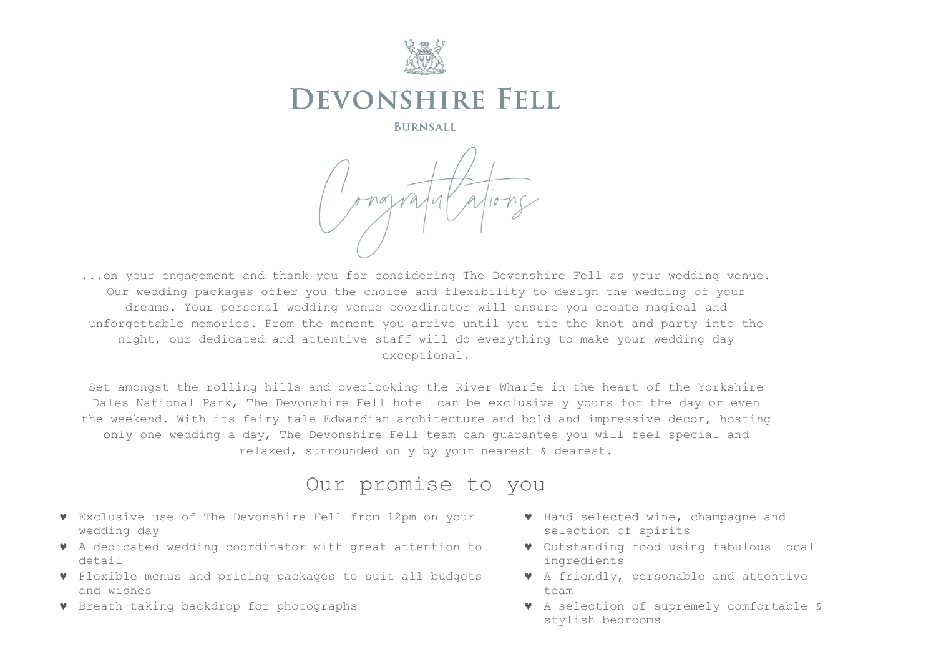

# **DEVONSHIRE FELL**

**BURNSALL** 

...on your engagement and thank you for considering The Devonshire Fell as your wedding venue. Our wedding packages offer you the choice and flexibility to design the wedding of your dreams. Your personal wedding venue coordinator will ensure you create magical and unforgettable memories. From the moment you arrive until you tie the knot and party into the night, our dedicated and attentive staff will do everything to make your wedding day exceptional.

Set amongst the rolling hills and overlooking the River Wharfe in the heart of the Yorkshire Dales National Park, The Devonshire Fell hotel can be exclusively yours for the day or even the weekend. With its fairy tale Edwardian architecture and bold and impressive decor, hosting only one wedding a day, The Devonshire Fell team can guarantee you will feel special and relaxed, surrounded only by your nearest & dearest.

## Our promise to you

- Exclusive use of The Devonshire Fell from 12pm on your wedding day
- A dedicated wedding coordinator with great attention to detail
- Flexible menus and pricing packages to suit all budgets and wishes
- Breath-taking backdrop for photographs
- Hand selected wine, champagne and selection of spirits
- Outstanding food using fabulous local ingredients
- A friendly, personable and attentive team
- A selection of supremely comfortable & stylish bedrooms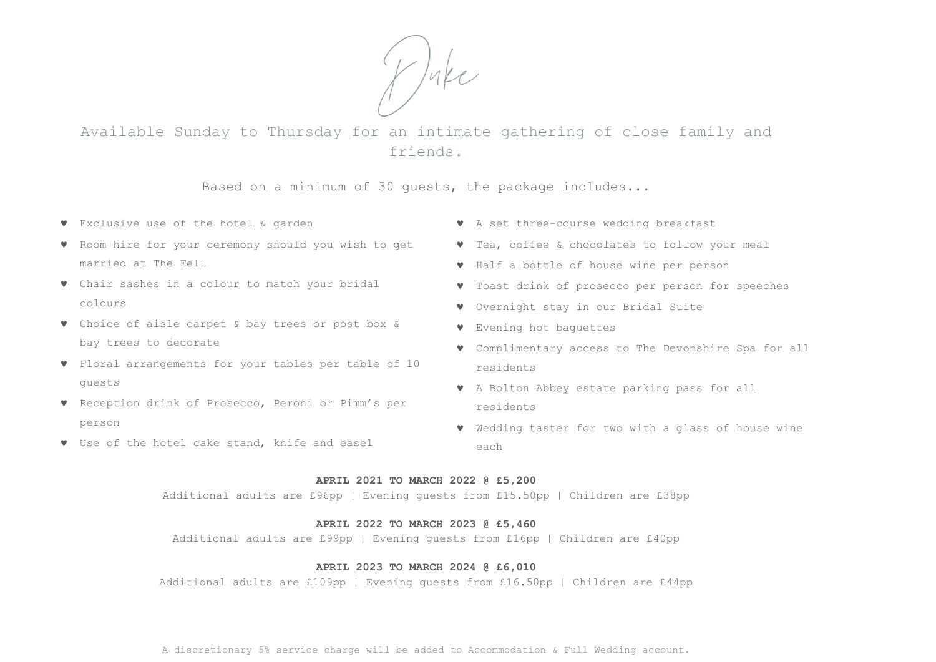Duke

Available Sunday to Thursday for an intimate gathering of close family and friends.

Based on a minimum of 30 guests, the package includes...

- Exclusive use of the hotel & garden
- Room hire for your ceremony should you wish to get married at The Fell
- Chair sashes in a colour to match your bridal colours
- Choice of aisle carpet & bay trees or post box & bay trees to decorate
- Floral arrangements for your tables per table of 10 guests
- Reception drink of Prosecco, Peroni or Pimm's per person
- Use of the hotel cake stand, knife and easel
- A set three-course wedding breakfast
- Tea, coffee & chocolates to follow your meal
- Half a bottle of house wine per person
- Toast drink of prosecco per person for speeches
- Overnight stay in our Bridal Suite
- Evening hot baguettes
- Complimentary access to The Devonshire Spa for all residents
- A Bolton Abbey estate parking pass for all residents
- Wedding taster for two with a glass of house wine each

### **APRIL 2021 TO MARCH 2022 @ £5,200**

Additional adults are £96pp | Evening guests from £15.50pp | Children are £38pp

### **APRIL 2022 TO MARCH 2023 @ £5,460**

Additional adults are £99pp | Evening guests from £16pp | Children are £40pp

### **APRIL 2023 TO MARCH 2024 @ £6,010**

Additional adults are £109pp | Evening guests from £16.50pp | Children are £44pp

A discretionary 5% service charge will be added to Accommodation & Full Wedding account.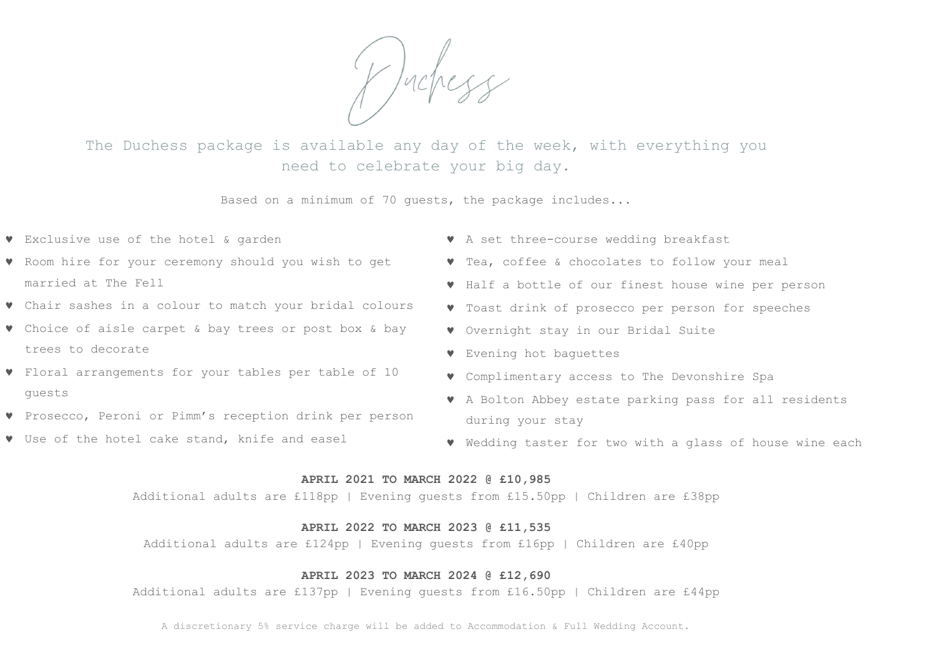Y Judress

The Duchess package is available any day of the week, with everything you need to celebrate your big day.

Based on a minimum of 70 guests, the package includes...

- Exclusive use of the hotel & garden
- Room hire for your ceremony should you wish to get married at The Fell
- Chair sashes in a colour to match your bridal colours
- Choice of aisle carpet & bay trees or post box & bay trees to decorate
- Floral arrangements for your tables per table of 10 guests
- Prosecco, Peroni or Pimm's reception drink per person
- Use of the hotel cake stand, knife and easel
- A set three-course wedding breakfast
- Tea, coffee & chocolates to follow your meal
- Half a bottle of our finest house wine per person
- Toast drink of prosecco per person for speeches
- Overnight stay in our Bridal Suite
- Evening hot baguettes
- Complimentary access to The Devonshire Spa
- A Bolton Abbey estate parking pass for all residents during your stay
- Wedding taster for two with a glass of house wine each

### **APRIL 2021 TO MARCH 2022 @ £10,985**

Additional adults are £118pp | Evening guests from £15.50pp | Children are £38pp

### **APRIL 2022 TO MARCH 2023 @ £11,535**

Additional adults are £124pp | Evening guests from £16pp | Children are £40pp

### **APRIL 2023 TO MARCH 2024 @ £12,690**

Additional adults are £137pp | Evening guests from £16.50pp | Children are £44pp

A discretionary 5% service charge will be added to Accommodation & Full Wedding Account.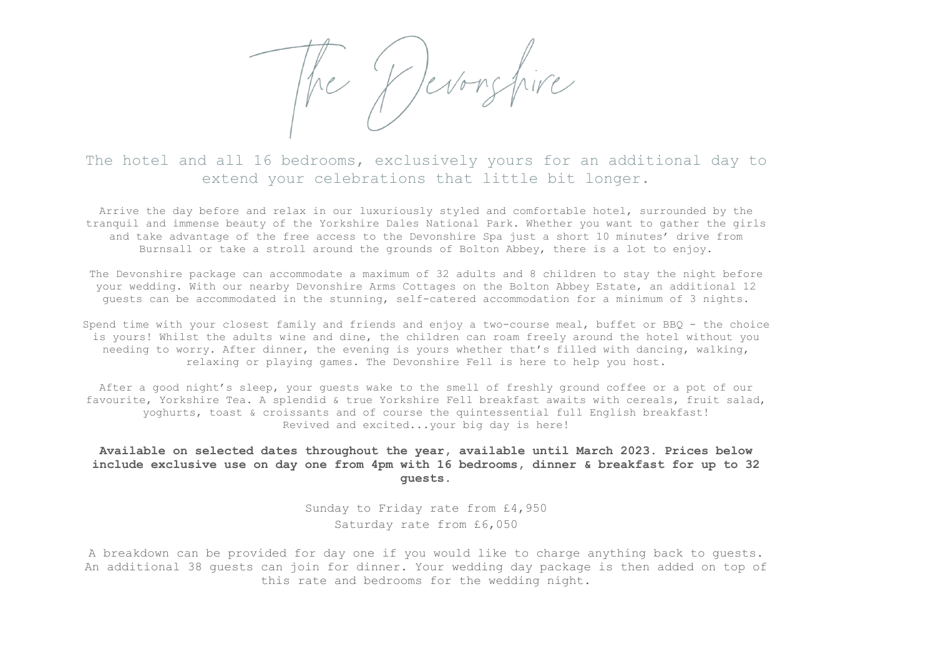he Y Jevonshire

The hotel and all 16 bedrooms, exclusively yours for an additional day to extend your celebrations that little bit longer.

Arrive the day before and relax in our luxuriously styled and comfortable hotel, surrounded by the tranquil and immense beauty of the Yorkshire Dales National Park. Whether you want to gather the girls and take advantage of the free access to the Devonshire Spa just a short 10 minutes' drive from Burnsall or take a stroll around the grounds of Bolton Abbey, there is a lot to enjoy.

The Devonshire package can accommodate a maximum of 32 adults and 8 children to stay the night before your wedding. With our nearby Devonshire Arms Cottages on the Bolton Abbey Estate, an additional 12 guests can be accommodated in the stunning, self-catered accommodation for a minimum of 3 nights.

Spend time with your closest family and friends and enjoy a two-course meal, buffet or BBQ - the choice is yours! Whilst the adults wine and dine, the children can roam freely around the hotel without you needing to worry. After dinner, the evening is yours whether that's filled with dancing, walking, relaxing or playing games. The Devonshire Fell is here to help you host.

After a good night's sleep, your guests wake to the smell of freshly ground coffee or a pot of our favourite, Yorkshire Tea. A splendid & true Yorkshire Fell breakfast awaits with cereals, fruit salad, yoghurts, toast & croissants and of course the quintessential full English breakfast! Revived and excited...your big day is here!

### **Available on selected dates throughout the year, available until March 2023. Prices below include exclusive use on day one from 4pm with 16 bedrooms, dinner & breakfast for up to 32 guests.**

Sunday to Friday rate from £4,950 Saturday rate from £6,050

A breakdown can be provided for day one if you would like to charge anything back to guests. An additional 38 guests can join for dinner. Your wedding day package is then added on top of this rate and bedrooms for the wedding night.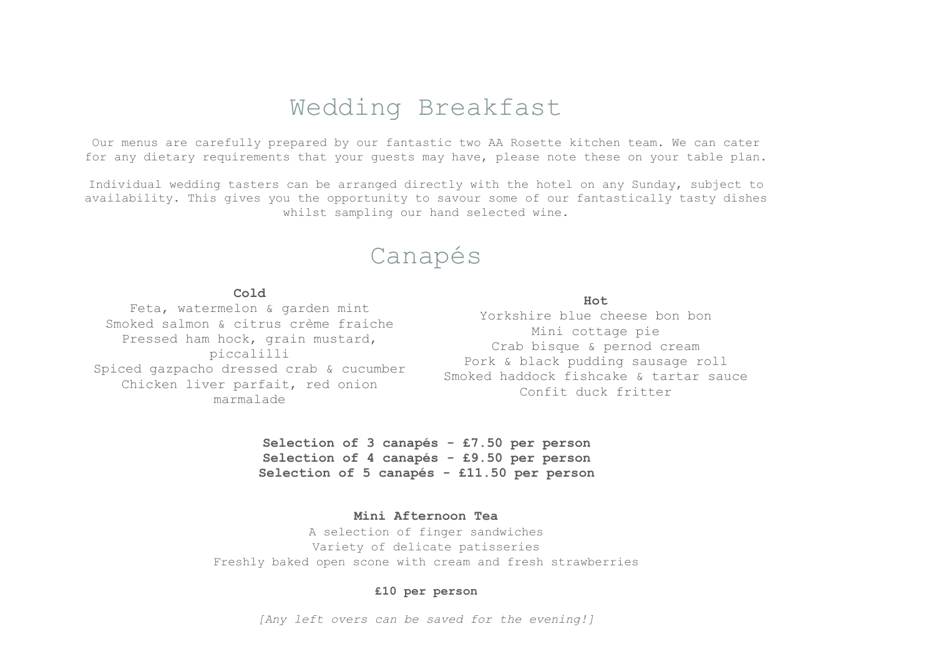## Wedding Breakfast

Our menus are carefully prepared by our fantastic two AA Rosette kitchen team. We can cater for any dietary requirements that your guests may have, please note these on your table plan.

Individual wedding tasters can be arranged directly with the hotel on any Sunday, subject to availability. This gives you the opportunity to savour some of our fantastically tasty dishes whilst sampling our hand selected wine.

## Canapés

### **Cold**

Feta, watermelon & garden mint Smoked salmon & citrus crème fraiche Pressed ham hock, grain mustard, piccalilli Spiced gazpacho dressed crab & cucumber Chicken liver parfait, red onion marmalade

### **Hot**

Yorkshire blue cheese bon bon Mini cottage pie Crab bisque & pernod cream Pork & black pudding sausage roll Smoked haddock fishcake & tartar sauce Confit duck fritter

**Selection of 3 canapés - £7.50 per person Selection of 4 canapés - £9.50 per person Selection of 5 canapés - £11.50 per person**

## **Mini Afternoon Tea**

A selection of finger sandwiches Variety of delicate patisseries Freshly baked open scone with cream and fresh strawberries

### **£10 per person**

*[Any left overs can be saved for the evening!]*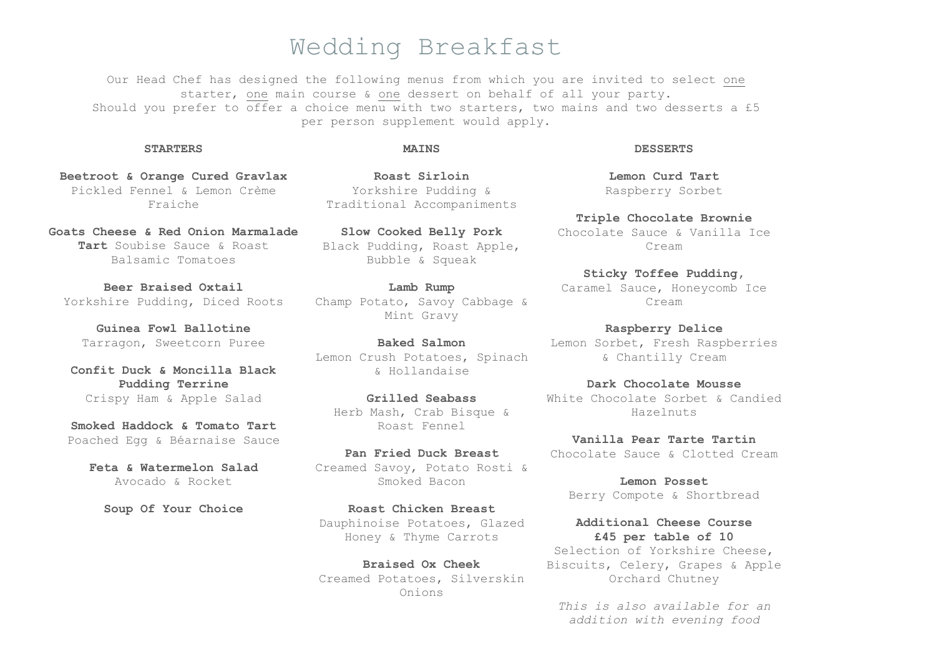## Wedding Breakfast

Our Head Chef has designed the following menus from which you are invited to select one starter, one main course & one dessert on behalf of all your party. Should you prefer to offer a choice menu with two starters, two mains and two desserts a £5 per person supplement would apply.

### **STARTERS**

### **MATNS**

**Beetroot & Orange Cured Gravlax** Pickled Fennel & Lemon Crème Fraiche

**Goats Cheese & Red Onion Marmalade Tart** Soubise Sauce & Roast Balsamic Tomatoes

**Beer Braised Oxtail** Yorkshire Pudding, Diced Roots

**Guinea Fowl Ballotine** Tarragon, Sweetcorn Puree

**Confit Duck & Moncilla Black Pudding Terrine** Crispy Ham & Apple Salad

**Smoked Haddock & Tomato Tart** Poached Egg & Béarnaise Sauce

**Feta & Watermelon Salad** Avocado & Rocket

**Soup Of Your Choice**

**Roast Sirloin** Yorkshire Pudding & Traditional Accompaniments

**Slow Cooked Belly Pork** Black Pudding, Roast Apple, Bubble & Squeak

**Lamb Rump** Champ Potato, Savoy Cabbage & Mint Gravy

**Baked Salmon** Lemon Crush Potatoes, Spinach & Hollandaise

**Grilled Seabass** Herb Mash, Crab Bisque & Roast Fennel

**Pan Fried Duck Breast** Creamed Savoy, Potato Rosti & Smoked Bacon

**Roast Chicken Breast** Dauphinoise Potatoes, Glazed Honey & Thyme Carrots

**Braised Ox Cheek** Creamed Potatoes, Silverskin Onions

### **DESSERTS**

**Lemon Curd Tart** Raspberry Sorbet

**Triple Chocolate Brownie** Chocolate Sauce & Vanilla Ice Cream

**Sticky Toffee Pudding,**  Caramel Sauce, Honeycomb Ice Cream

**Raspberry Delice** Lemon Sorbet, Fresh Raspberries & Chantilly Cream

**Dark Chocolate Mousse** White Chocolate Sorbet & Candied Hazelnuts

**Vanilla Pear Tarte Tartin** Chocolate Sauce & Clotted Cream

**Lemon Posset** Berry Compote & Shortbread

**Additional Cheese Course £45 per table of 10** Selection of Yorkshire Cheese, Biscuits, Celery, Grapes & Apple Orchard Chutney

*This is also available for an addition with evening food*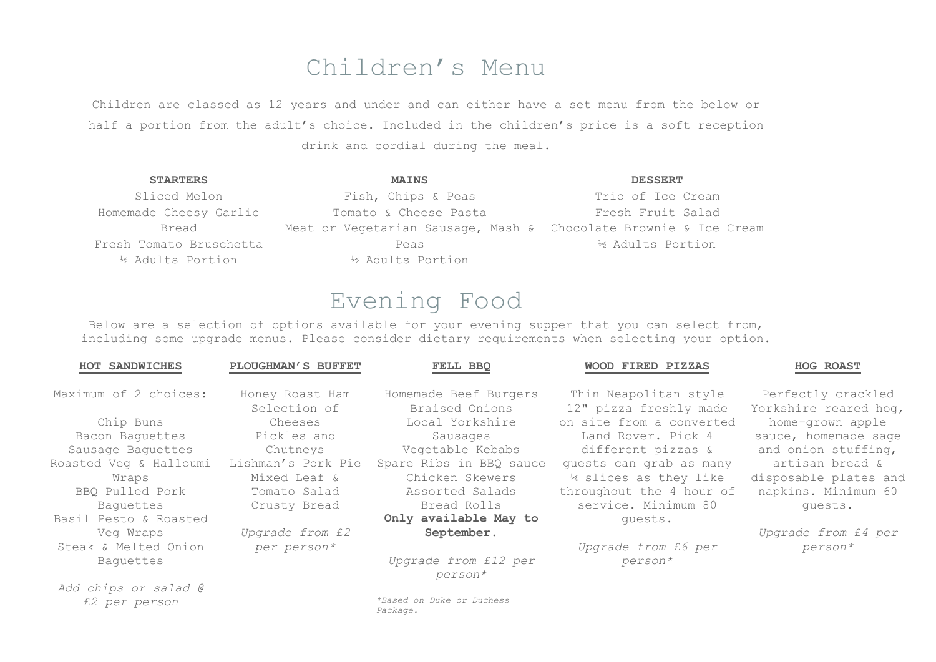## Children's Menu

Children are classed as 12 years and under and can either have a set menu from the below or half a portion from the adult's choice. Included in the children's price is a soft reception drink and cordial during the meal.

| <b>STARTERS</b>         | <b>MAINS</b>                                                     | <b>DESSERT</b>    |
|-------------------------|------------------------------------------------------------------|-------------------|
| Sliced Melon            | Fish, Chips & Peas                                               | Trio of Ice Cream |
| Homemade Cheesy Garlic  | Tomato & Cheese Pasta                                            | Fresh Fruit Salad |
| Bread                   | Meat or Vegetarian Sausage, Mash & Chocolate Brownie & Ice Cream |                   |
| Fresh Tomato Bruschetta | Peas                                                             | ½ Adults Portion  |
| % Adults Portion        | % Adults Portion                                                 |                   |

# Evening Food

Below are a selection of options available for your evening supper that you can select from, including some upgrade menus. Please consider dietary requirements when selecting your option.

| <b>HOT SANDWICHES</b>  | PLOUGHMAN'S BUFFET              | FELL BBO                                | WOOD FIRED PIZZAS                               | <b>HOG ROAST</b>                            |
|------------------------|---------------------------------|-----------------------------------------|-------------------------------------------------|---------------------------------------------|
| Maximum of 2 choices:  | Honey Roast Ham<br>Selection of | Homemade Beef Burgers<br>Braised Onions | Thin Neapolitan style<br>12" pizza freshly made | Perfectly crackled<br>Yorkshire reared hog, |
| Chip Buns              | Cheeses                         | Local Yorkshire                         | on site from a converted                        | home-grown apple                            |
| Bacon Baquettes        | Pickles and                     | Sausages                                | Land Rover. Pick 4                              | sauce, homemade sage                        |
| Sausage Baquettes      | Chutneys                        | Vegetable Kebabs                        | different pizzas &                              | and onion stuffing,                         |
| Roasted Veg & Halloumi | Lishman's Pork Pie              | Spare Ribs in BBQ sauce                 | quests can grab as many                         | artisan bread &                             |
| Wraps                  | Mixed Leaf &                    | Chicken Skewers                         | 14 slices as they like                          | disposable plates and                       |
| BBQ Pulled Pork        | Tomato Salad                    | Assorted Salads                         | throughout the 4 hour of                        | napkins. Minimum 60                         |
| Baquettes              | Crusty Bread                    | Bread Rolls                             | service. Minimum 80                             | quests.                                     |
| Basil Pesto & Roasted  |                                 | Only available May to                   | quests.                                         |                                             |
| Veg Wraps              | <i>Upgrade from £2</i>          | September.                              |                                                 | Upgrade from £4 per                         |
| Steak & Melted Onion   | per person*                     |                                         | Upgrade from £6 per                             | person*                                     |
| Baquettes              |                                 | Upgrade from £12 per<br>person*         | person*                                         |                                             |
| Add chips or salad @   |                                 |                                         |                                                 |                                             |
| £2 per person          |                                 | *Based on Duke or Duchess<br>Package.   |                                                 |                                             |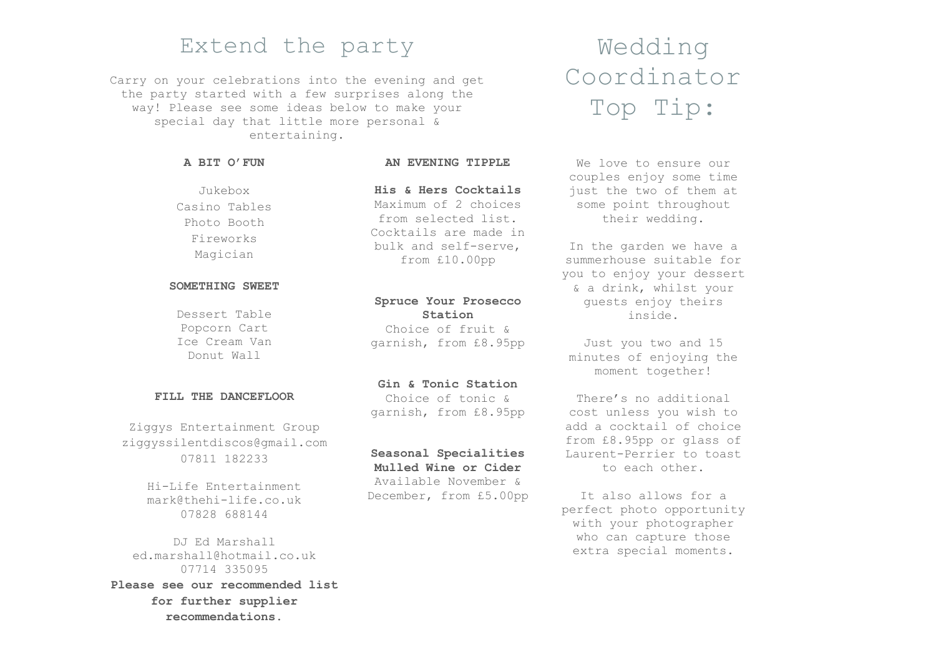## Extend the party Wedding

Carry on your celebrations into the evening and get the party started with a few surprises along the way! Please see some ideas below to make your special day that little more personal & entertaining.

### **A BIT O'FUN**

### **AN EVENING TIPPLE**

Jukebox Casino Tables Photo Booth Fireworks Magician

### **SOMETHING SWEET**

Dessert Table Popcorn Cart Ice Cream Van Donut Wall

### **FILL THE DANCEFLOOR**

Ziggys Entertainment Group [ziggyssilentdiscos@gmail.com](mailto:ziggyssilentdiscos@gmail.com) 07811 182233

> Hi-Life Entertainment [mark@thehi-life.co.uk](mailto:mark@thehi-life.co.uk) 07828 688144

DJ Ed Marshall [ed.marshall@hotmail.co.uk](mailto:ed.marshall@hotmail.co.uk) 07714 335095 **Please see our recommended list for further supplier recommendations.**

**His & Hers Cocktails** Maximum of 2 choices from selected list. Cocktails are made in bulk and self-serve, from £10.00pp

## **Spruce Your Prosecco Station**

Choice of fruit & garnish, from £8.95pp

### **Gin & Tonic Station** Choice of tonic &

garnish, from £8.95pp

## **Seasonal Specialities**

**Mulled Wine or Cider** Available November & December, from £5.00pp

# Coordinator Top Tip:

We love to ensure our couples enjoy some time just the two of them at some point throughout their wedding.

In the garden we have a summerhouse suitable for you to enjoy your dessert & a drink, whilst your guests enjoy theirs inside.

Just you two and 15 minutes of enjoying the moment together!

There's no additional cost unless you wish to add a cocktail of choice from £8.95pp or glass of Laurent-Perrier to toast to each other.

It also allows for a perfect photo opportunity with your photographer who can capture those extra special moments.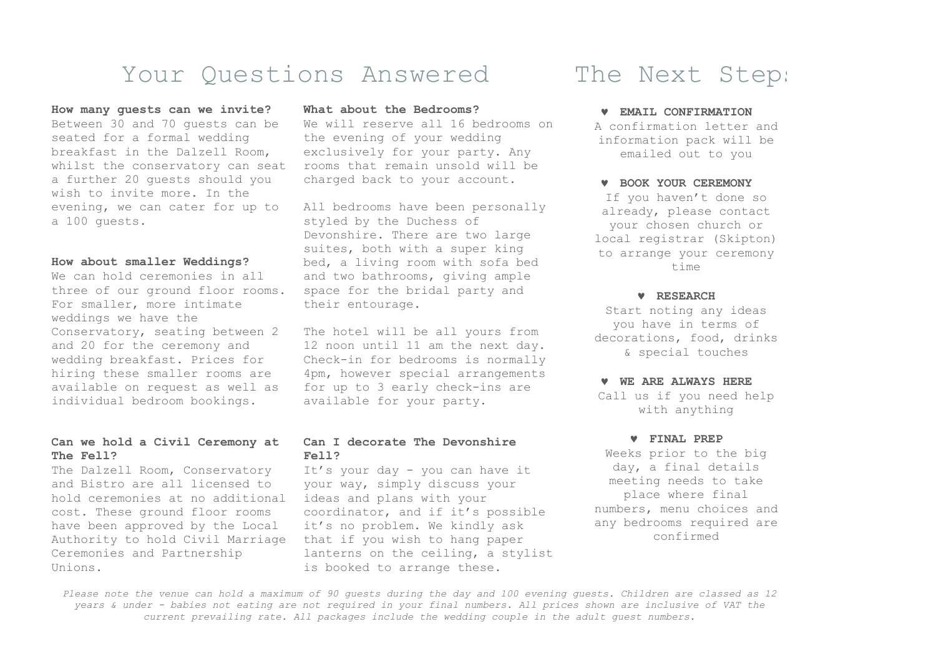## Your Questions Answered The Next Steps

### **How many guests can we invite?**

Between 30 and 70 guests can be seated for a formal wedding breakfast in the Dalzell Room, whilst the conservatory can seat a further 20 guests should you wish to invite more. In the evening, we can cater for up to a 100 guests.

### **How about smaller Weddings?**

We can hold ceremonies in all three of our ground floor rooms. For smaller, more intimate weddings we have the Conservatory, seating between 2 and 20 for the ceremony and wedding breakfast. Prices for hiring these smaller rooms are available on request as well as individual bedroom bookings.

### **Can we hold a Civil Ceremony at The Fell?**

The Dalzell Room, Conservatory and Bistro are all licensed to hold ceremonies at no additional cost. These ground floor rooms have been approved by the Local Authority to hold Civil Marriage Ceremonies and Partnership Unions.

### **What about the Bedrooms?**

We will reserve all 16 bedrooms on the evening of your wedding exclusively for your party. Any rooms that remain unsold will be charged back to your account.

All bedrooms have been personally styled by the Duchess of Devonshire. There are two large suites, both with a super king bed, a living room with sofa bed and two bathrooms, giving ample space for the bridal party and their entourage.

The hotel will be all yours from 12 noon until 11 am the next day. Check-in for bedrooms is normally 4pm, however special arrangements for up to 3 early check-ins are available for your party.

### **Can I decorate The Devonshire Fell?**

It's your day - you can have it your way, simply discuss your ideas and plans with your coordinator, and if it's possible it's no problem. We kindly ask that if you wish to hang paper lanterns on the ceiling, a stylist is booked to arrange these.

### **EMAIL CONFIRMATION** A confirmation letter and

information pack will be emailed out to you

### **W ROOK YOUR CEREMONY**

If you haven't done so already, please contact your chosen church or local registrar (Skipton) to arrange your ceremony  $time$ 

### **RESEARCH**

Start noting any ideas you have in terms of decorations, food, drinks & special touches

### **WE ARE ALWAYS HERE**

Call us if you need help with anything

### **FINAL PREP**

Weeks prior to the big day, a final details meeting needs to take place where final numbers, menu choices and any bedrooms required are confirmed

*Please note the venue can hold a maximum of 90 guests during the day and 100 evening guests. Children are classed as 12 years & under - babies not eating are not required in your final numbers. All prices shown are inclusive of VAT the current prevailing rate. All packages include the wedding couple in the adult guest numbers.*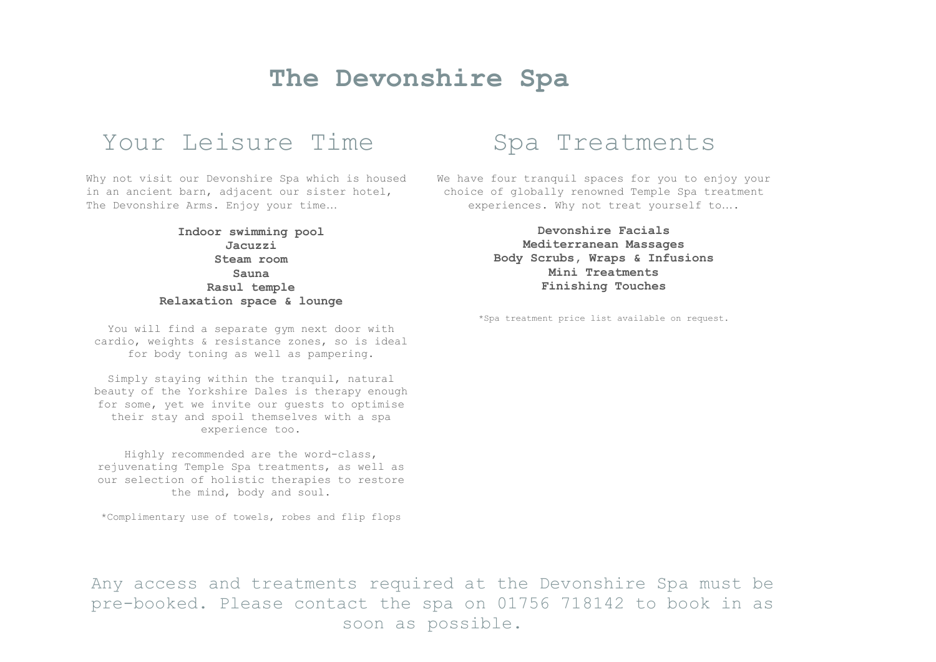## **The Devonshire Spa**

## Your Leisure Time Spa Treatments

Why not visit our Devonshire Spa which is housed in an ancient barn, adjacent our sister hotel, The Devonshire Arms. Enjoy your time…

> **Indoor swimming pool Jacuzzi Steam room Sauna Rasul temple Relaxation space & lounge**

You will find a separate gym next door with cardio, weights & resistance zones, so is ideal for body toning as well as pampering.

Simply staying within the tranquil, natural beauty of the Yorkshire Dales is therapy enough for some, yet we invite our guests to optimise their stay and spoil themselves with a spa experience too.

Highly recommended are the word-class, rejuvenating Temple Spa treatments, as well as our selection of holistic therapies to restore the mind, body and soul.

\*Complimentary use of towels, robes and flip flops

We have four tranquil spaces for you to enjoy your choice of globally renowned Temple Spa treatment experiences. Why not treat yourself to….

> **Devonshire Facials Mediterranean Massages Body Scrubs, Wraps & Infusions Mini Treatments Finishing Touches**

\*Spa treatment price list available on request.

Any access and treatments required at the Devonshire Spa must be pre-booked. Please contact the spa on 01756 718142 to book in as soon as possible.